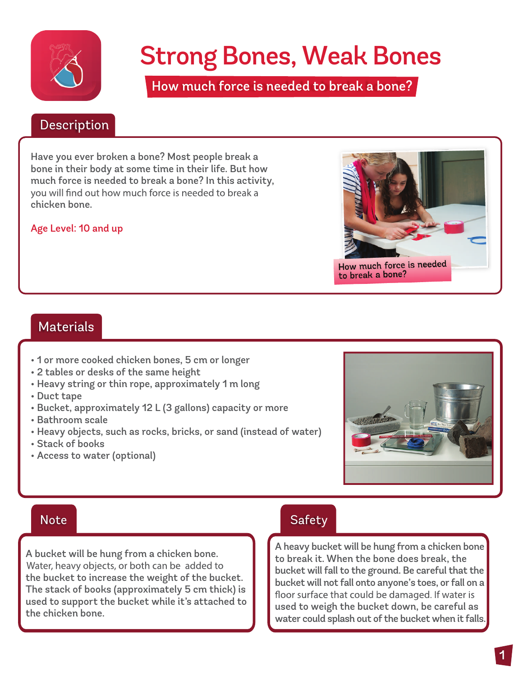

# Strong Bones, Weak Bones

How much force is needed to break a bone?

#### Description Description

Have you ever broken a bone? Most people break a bone in their body at some time in their life. But how much force is needed to break a bone? In this activity, you will find out how much force is needed to break a chicken bone.

#### Age Level: 10 and up



#### Materials

- 1 or more cooked chicken bones, 5 cm or longer
- 2 tables or desks of the same height
- Heavy string or thin rope, approximately 1 m long
- Duct tape
- Bucket, approximately 12 L (3 gallons) capacity or more
- Bathroom scale
- Heavy objects, such as rocks, bricks, or sand (instead of water)
- Stack of books
- Access to water (optional)



A bucket will be hung from a chicken bone. Water, heavy objects, or both can be added to the bucket to increase the weight of the bucket. The stack of books (approximately 5 cm thick) is used to support the bucket while it's attached to the chicken bone.

#### Note Safety

A heavy bucket will be hung from a chicken bone to break it. When the bone does break, the bucket will fall to the ground. Be careful that the bucket will not fall onto anyone's toes, or fall on a floor surface that could be damaged. If water is used to weigh the bucket down, be careful as water could splash out of the bucket when it falls.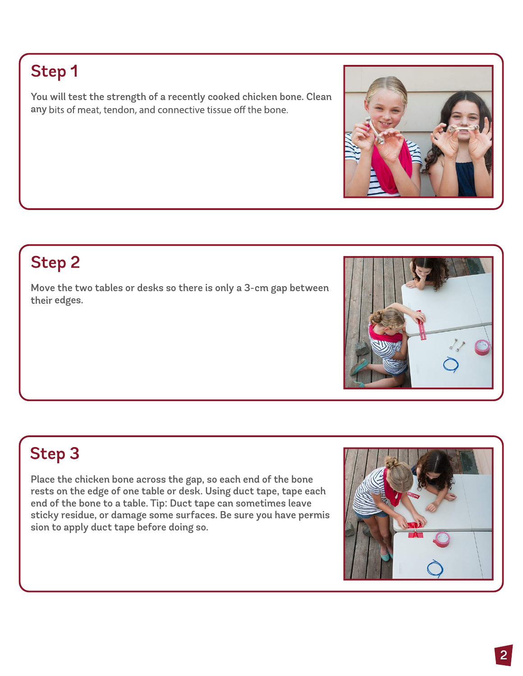#### Step 1

You will test the strength of a recently cooked chicken bone. Clean any bits of meat, tendon, and connective tissue off the bone.

## Step 2

Move the two tables or desks so there is only a 3-cm gap between their edges.

## Step 3

Place the chicken bone across the gap, so each end of the bone rests on the edge of one table or desk. Using duct tape, tape each end of the bone to a table. Tip: Duct tape can sometimes leave sticky residue, or damage some surfaces. Be sure you have permis sion to apply duct tape before doing so.





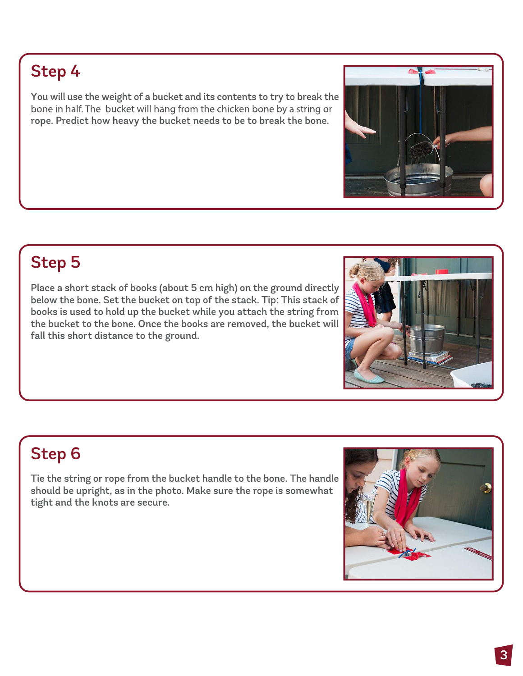You will use the weight of a bucket and its contents to try to break the bone in half. The bucket will hang from the chicken bone by a string or rope. Predict how heavy the bucket needs to be to break the bone.

## **Step 5**

Place a short stack of books (about 5 cm high) on the ground directly below the bone. Set the bucket on top of the stack. Tip: This stack of books is used to hold up the bucket while you attach the string from the bucket to the bone. Once the books are removed, the bucket will fall this short distance to the ground.

## Step 6

Tie the string or rope from the bucket handle to the bone. The handle should be upright, as in the photo. Make sure the rope is somewhat tight and the knots are secure.





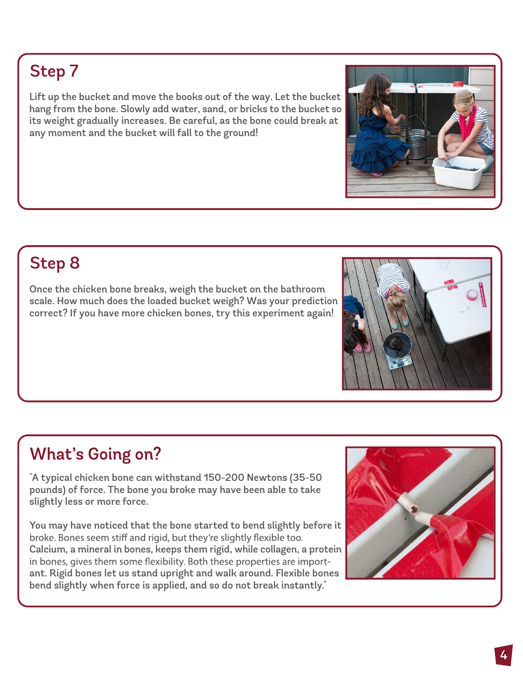### Step 7

Lift up the bucket and move the books out of the way. Let the bucket hang from the bone. Slowly add water, sand, or bricks to the bucket so its weight gradually increases. Be careful, as the bone could break at any moment and the bucket will fall to the ground!

## Step 8

Once the chicken bone breaks, weigh the bucket on the bathroom scale. How much does the loaded bucket weigh? Was your prediction correct? If you have more chicken bones, try this experiment again!

## **What's Going on?**

"A typical chicken bone can withstand 150-200 Newtons (35-50 pounds) of force. The bone you broke may have been able to take slightly less or more force.

You may have noticed that the bone started to bend slightly before it broke. Bones seem stiff and rigid, but they're slightly flexible too. Calcium, a mineral in bones, keeps them rigid, while collagen, a protein in bones, gives them some flexibility. Both these properties are important. Rigid bones let us stand upright and walk around. Flexible bones bend slightly when force is applied, and so do not break instantly."





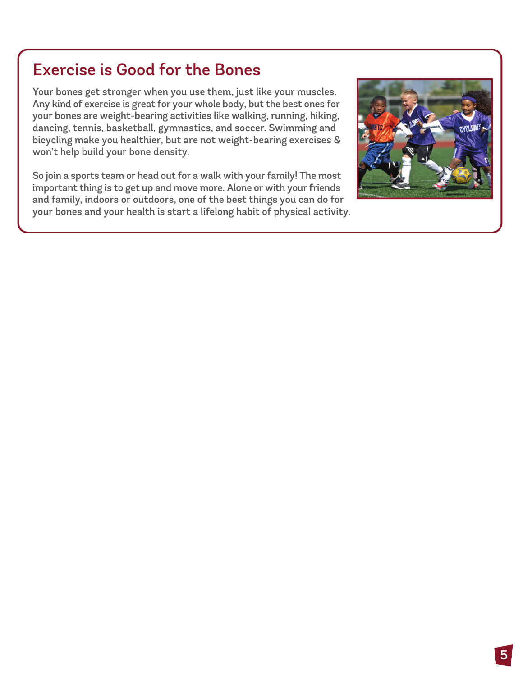#### Exercise is Good for the Bones

Your bones get stronger when you use them, just like your muscles. Any kind of exercise is great for your whole body, but the best ones for your bones are weight-bearing activities like walking, running, hiking, dancing, tennis, basketball, gymnastics, and soccer. Swimming and bicycling make you healthier, but are not weight-bearing exercises & won't help build your bone density.

So join a sports team or head out for a walk with your family! The most important thing is to get up and move more. Alone or with your friends and family, indoors or outdoors, one of the best things you can do for your bones and your health is start a lifelong habit of physical activity.